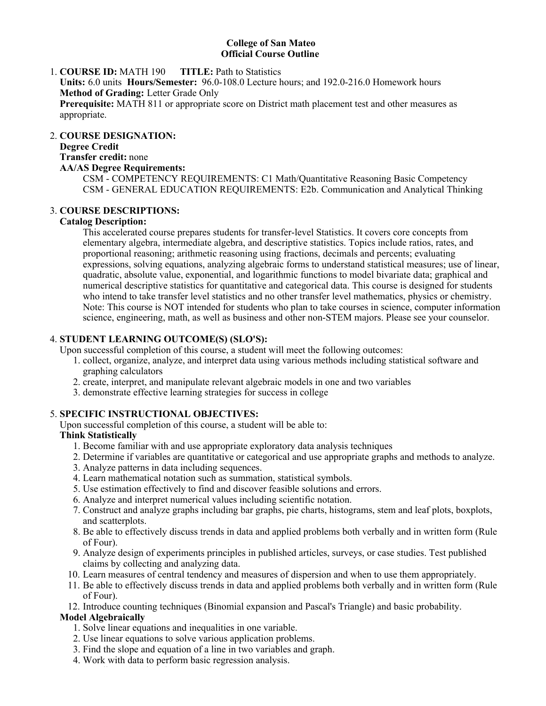### **College of San Mateo Official Course Outline**

## 1. **COURSE ID:** MATH 190 **TITLE:** Path to Statistics **Units:** 6.0 units **Hours/Semester:** 96.0-108.0 Lecture hours; and 192.0-216.0 Homework hours **Method of Grading:** Letter Grade Only **Prerequisite:** MATH 811 or appropriate score on District math placement test and other measures as appropriate.

#### **COURSE DESIGNATION:** 2.

# **Degree Credit**

#### **Transfer credit:** none **AA/AS Degree Requirements:**

CSM - COMPETENCY REQUIREMENTS: C1 Math/Quantitative Reasoning Basic Competency CSM - GENERAL EDUCATION REQUIREMENTS: E2b. Communication and Analytical Thinking

## **COURSE DESCRIPTIONS:** 3.

### **Catalog Description:**

This accelerated course prepares students for transfer-level Statistics. It covers core concepts from elementary algebra, intermediate algebra, and descriptive statistics. Topics include ratios, rates, and proportional reasoning; arithmetic reasoning using fractions, decimals and percents; evaluating expressions, solving equations, analyzing algebraic forms to understand statistical measures; use of linear, quadratic, absolute value, exponential, and logarithmic functions to model bivariate data; graphical and numerical descriptive statistics for quantitative and categorical data. This course is designed for students who intend to take transfer level statistics and no other transfer level mathematics, physics or chemistry. Note: This course is NOT intended for students who plan to take courses in science, computer information science, engineering, math, as well as business and other non-STEM majors. Please see your counselor.

## **STUDENT LEARNING OUTCOME(S) (SLO'S):** 4.

- Upon successful completion of this course, a student will meet the following outcomes:
	- 1. collect, organize, analyze, and interpret data using various methods including statistical software and graphing calculators
	- 2. create, interpret, and manipulate relevant algebraic models in one and two variables
	- 3. demonstrate effective learning strategies for success in college

## **SPECIFIC INSTRUCTIONAL OBJECTIVES:** 5.

Upon successful completion of this course, a student will be able to:

## **Think Statistically**

- 1. Become familiar with and use appropriate exploratory data analysis techniques
- 2. Determine if variables are quantitative or categorical and use appropriate graphs and methods to analyze.
- 3. Analyze patterns in data including sequences.
- 4. Learn mathematical notation such as summation, statistical symbols.
- 5. Use estimation effectively to find and discover feasible solutions and errors.
- 6. Analyze and interpret numerical values including scientific notation.
- 7. Construct and analyze graphs including bar graphs, pie charts, histograms, stem and leaf plots, boxplots, and scatterplots.
- Be able to effectively discuss trends in data and applied problems both verbally and in written form (Rule 8. of Four).
- Analyze design of experiments principles in published articles, surveys, or case studies. Test published 9. claims by collecting and analyzing data.
- 10. Learn measures of central tendency and measures of dispersion and when to use them appropriately.
- 11. Be able to effectively discuss trends in data and applied problems both verbally and in written form (Rule of Four).

12. Introduce counting techniques (Binomial expansion and Pascal's Triangle) and basic probability.

## **Model Algebraically**

- 1. Solve linear equations and inequalities in one variable.
- 2. Use linear equations to solve various application problems.
- 3. Find the slope and equation of a line in two variables and graph.
- 4. Work with data to perform basic regression analysis.  $5.5.0\pm0.0$  use dimensional analysis to perform unit conversions.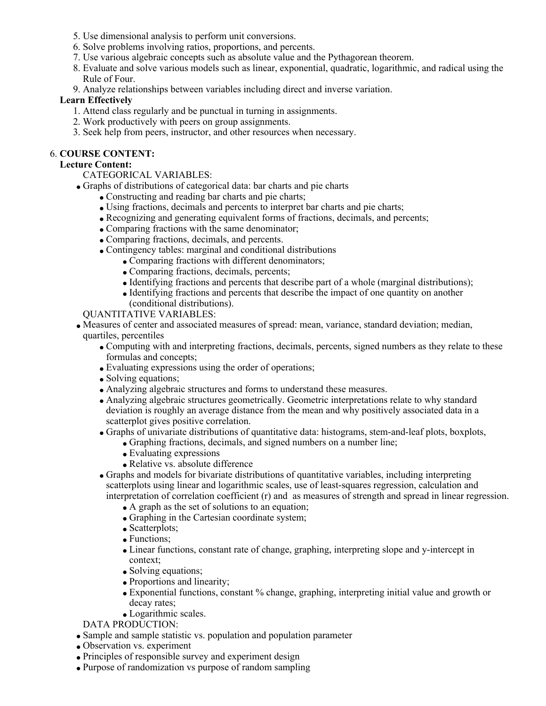- 5. Use dimensional analysis to perform unit conversions.
- 6. Solve problems involving ratios, proportions, and percents.
- 7. Use various algebraic concepts such as absolute value and the Pythagorean theorem.
- Evaluate and solve various models such as linear, exponential, quadratic, logarithmic, and radical using the 8. Rule of Four.
- 9. Analyze relationships between variables including direct and inverse variation.

### **Learn Effectively**

- 1. Attend class regularly and be punctual in turning in assignments.
- 2. Work productively with peers on group assignments.
- 3. Seek help from peers, instructor, and other resources when necessary.

### **COURSE CONTENT:** 6.

### **Lecture Content:**

### CATEGORICAL VARIABLES:

- Graphs of distributions of categorical data: bar charts and pie charts
	- Constructing and reading bar charts and pie charts;
	- Using fractions, decimals and percents to interpret bar charts and pie charts;
	- Recognizing and generating equivalent forms of fractions, decimals, and percents;
	- Comparing fractions with the same denominator;
	- Comparing fractions, decimals, and percents.
	- Contingency tables: marginal and conditional distributions
		- Comparing fractions with different denominators;
		- Comparing fractions, decimals, percents;
		- Identifying fractions and percents that describe part of a whole (marginal distributions);
		- Identifying fractions and percents that describe the impact of one quantity on another (conditional distributions).

QUANTITATIVE VARIABLES:

- Measures of center and associated measures of spread: mean, variance, standard deviation; median, quartiles, percentiles
	- Computing with and interpreting fractions, decimals, percents, signed numbers as they relate to these formulas and concepts;
	- Evaluating expressions using the order of operations;
	- Solving equations;
	- Analyzing algebraic structures and forms to understand these measures.
	- Analyzing algebraic structures geometrically. Geometric interpretations relate to why standard deviation is roughly an average distance from the mean and why positively associated data in a scatterplot gives positive correlation.
	- Graphs of univariate distributions of quantitative data: histograms, stem-and-leaf plots, boxplots,
		- Graphing fractions, decimals, and signed numbers on a number line;
		- Evaluating expressions
		- Relative vs. absolute difference
	- Graphs and models for bivariate distributions of quantitative variables, including interpreting scatterplots using linear and logarithmic scales, use of least-squares regression, calculation and interpretation of correlation coefficient (r) and as measures of strength and spread in linear regression.
		- A graph as the set of solutions to an equation;
		- Graphing in the Cartesian coordinate system;
		- Scatterplots;
		- Functions:
		- Linear functions, constant rate of change, graphing, interpreting slope and y-intercept in context;
		- Solving equations;
		- Proportions and linearity;
		- Exponential functions, constant % change, graphing, interpreting initial value and growth or decay rates;
		- Logarithmic scales.

## DATA PRODUCTION:

- Sample and sample statistic vs. population and population parameter
- Observation vs. experiment
- Principles of responsible survey and experiment design
- Purpose of randomization vs purpose of random sampling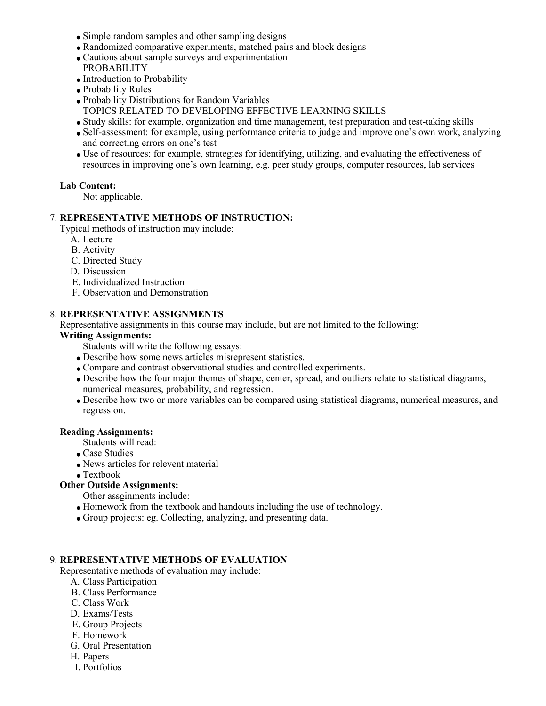- Simple random samples and other sampling designs
- Randomized comparative experiments, matched pairs and block designs
- Cautions about sample surveys and experimentation
- PROBABILITY • Introduction to Probability
- Probability Rules
- Probability Distributions for Random Variables
- TOPICS RELATED TO DEVELOPING EFFECTIVE LEARNING SKILLS
- Study skills: for example, organization and time management, test preparation and test-taking skills
- Self-assessment: for example, using performance criteria to judge and improve one's own work, analyzing and correcting errors on one's test
- Use of resources: for example, strategies for identifying, utilizing, and evaluating the effectiveness of resources in improving one's own learning, e.g. peer study groups, computer resources, lab services

### **Lab Content:**

Not applicable.

### **REPRESENTATIVE METHODS OF INSTRUCTION:** 7.

Typical methods of instruction may include:

- A. Lecture
- B. Activity
- C. Directed Study
- D. Discussion
- E. Individualized Instruction
- F. Observation and Demonstration

#### **REPRESENTATIVE ASSIGNMENTS** 8.

Representative assignments in this course may include, but are not limited to the following:

#### **Writing Assignments:**

- Students will write the following essays:
- Describe how some news articles misrepresent statistics.
- Compare and contrast observational studies and controlled experiments.
- Describe how the four major themes of shape, center, spread, and outliers relate to statistical diagrams, numerical measures, probability, and regression.
- Describe how two or more variables can be compared using statistical diagrams, numerical measures, and regression.

#### **Reading Assignments:**

- Students will read:
- Case Studies
- News articles for relevent material
- Textbook

# **Other Outside Assignments:**

- Other assginments include:
- Homework from the textbook and handouts including the use of technology.
- Group projects: eg. Collecting, analyzing, and presenting data.

#### **REPRESENTATIVE METHODS OF EVALUATION** 9.

Representative methods of evaluation may include:

- A. Class Participation
- B. Class Performance
- C. Class Work
- D. Exams/Tests
- E. Group Projects
- F. Homework
- G. Oral Presentation
- H. Papers
- I. Portfolios